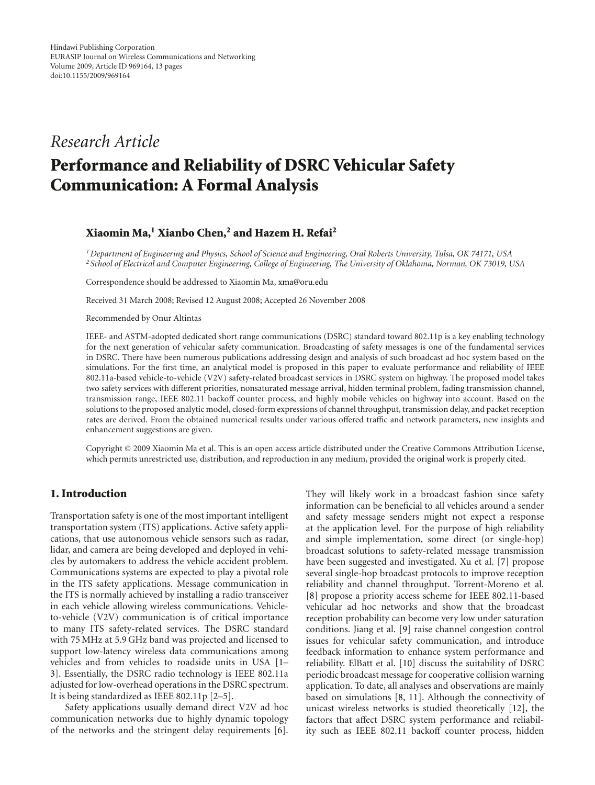# *Research Article*

# **Performance and Reliability of DSRC Vehicular Safety Communication: A Formal Analysis**

### **Xiaomin Ma,1 Xianbo Chen,2 and Hazem H. Refai2**

*1Department of Engineering and Physics, School of Science and Engineering, Oral Roberts University, Tulsa, OK 74171, USA <sup>2</sup> School of Electrical and Computer Engineering, College of Engineering, The University of Oklahoma, Norman, OK 73019, USA*

Correspondence should be addressed to Xiaomin Ma, xma@oru.edu

Received 31 March 2008; Revised 12 August 2008; Accepted 26 November 2008

Recommended by Onur Altintas

IEEE- and ASTM-adopted dedicated short range communications (DSRC) standard toward 802.11p is a key enabling technology for the next generation of vehicular safety communication. Broadcasting of safety messages is one of the fundamental services in DSRC. There have been numerous publications addressing design and analysis of such broadcast ad hoc system based on the simulations. For the first time, an analytical model is proposed in this paper to evaluate performance and reliability of IEEE 802.11a-based vehicle-to-vehicle (V2V) safety-related broadcast services in DSRC system on highway. The proposed model takes two safety services with different priorities, nonsaturated message arrival, hidden terminal problem, fading transmission channel, transmission range, IEEE 802.11 backoff counter process, and highly mobile vehicles on highway into account. Based on the solutions to the proposed analytic model, closed-form expressions of channel throughput, transmission delay, and packet reception rates are derived. From the obtained numerical results under various offered traffic and network parameters, new insights and enhancement suggestions are given.

Copyright © 2009 Xiaomin Ma et al. This is an open access article distributed under the Creative Commons Attribution License, which permits unrestricted use, distribution, and reproduction in any medium, provided the original work is properly cited.

# **1. Introduction**

Transportation safety is one of the most important intelligent transportation system (ITS) applications. Active safety applications, that use autonomous vehicle sensors such as radar, lidar, and camera are being developed and deployed in vehicles by automakers to address the vehicle accident problem. Communications systems are expected to play a pivotal role in the ITS safety applications. Message communication in the ITS is normally achieved by installing a radio transceiver in each vehicle allowing wireless communications. Vehicleto-vehicle (V2V) communication is of critical importance to many ITS safety-related services. The DSRC standard with 75 MHz at 5.9 GHz band was projected and licensed to support low-latency wireless data communications among vehicles and from vehicles to roadside units in USA [1– 3]. Essentially, the DSRC radio technology is IEEE 802.11a adjusted for low-overhead operations in the DSRC spectrum. It is being standardized as IEEE 802.11p [2–5].

Safety applications usually demand direct V2V ad hoc communication networks due to highly dynamic topology of the networks and the stringent delay requirements [6].

They will likely work in a broadcast fashion since safety information can be beneficial to all vehicles around a sender and safety message senders might not expect a response at the application level. For the purpose of high reliability and simple implementation, some direct (or single-hop) broadcast solutions to safety-related message transmission have been suggested and investigated. Xu et al. [7] propose several single-hop broadcast protocols to improve reception reliability and channel throughput. Torrent-Moreno et al. [8] propose a priority access scheme for IEEE 802.11-based vehicular ad hoc networks and show that the broadcast reception probability can become very low under saturation conditions. Jiang et al. [9] raise channel congestion control issues for vehicular safety communication, and introduce feedback information to enhance system performance and reliability. ElBatt et al. [10] discuss the suitability of DSRC periodic broadcast message for cooperative collision warning application. To date, all analyses and observations are mainly based on simulations [8, 11]. Although the connectivity of unicast wireless networks is studied theoretically [12], the factors that affect DSRC system performance and reliability such as IEEE 802.11 backoff counter process, hidden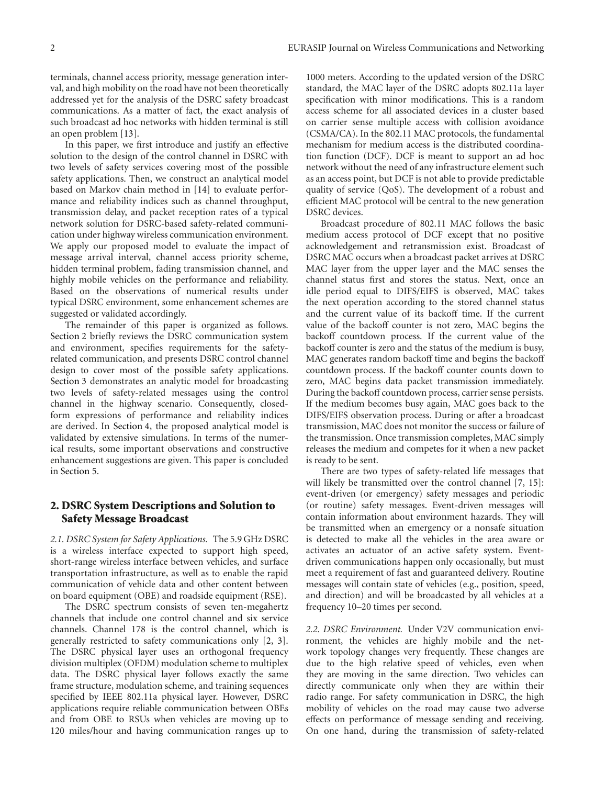terminals, channel access priority, message generation interval, and high mobility on the road have not been theoretically addressed yet for the analysis of the DSRC safety broadcast communications. As a matter of fact, the exact analysis of such broadcast ad hoc networks with hidden terminal is still an open problem [13].

In this paper, we first introduce and justify an effective solution to the design of the control channel in DSRC with two levels of safety services covering most of the possible safety applications. Then, we construct an analytical model based on Markov chain method in [14] to evaluate performance and reliability indices such as channel throughput, transmission delay, and packet reception rates of a typical network solution for DSRC-based safety-related communication under highway wireless communication environment. We apply our proposed model to evaluate the impact of message arrival interval, channel access priority scheme, hidden terminal problem, fading transmission channel, and highly mobile vehicles on the performance and reliability. Based on the observations of numerical results under typical DSRC environment, some enhancement schemes are suggested or validated accordingly.

The remainder of this paper is organized as follows. Section 2 briefly reviews the DSRC communication system and environment, specifies requirements for the safetyrelated communication, and presents DSRC control channel design to cover most of the possible safety applications. Section 3 demonstrates an analytic model for broadcasting two levels of safety-related messages using the control channel in the highway scenario. Consequently, closedform expressions of performance and reliability indices are derived. In Section 4, the proposed analytical model is validated by extensive simulations. In terms of the numerical results, some important observations and constructive enhancement suggestions are given. This paper is concluded in Section 5.

## **2. DSRC System Descriptions and Solution to Safety Message Broadcast**

*2.1. DSRC System for Safety Applications.* The 5.9 GHz DSRC is a wireless interface expected to support high speed, short-range wireless interface between vehicles, and surface transportation infrastructure, as well as to enable the rapid communication of vehicle data and other content between on board equipment (OBE) and roadside equipment (RSE).

The DSRC spectrum consists of seven ten-megahertz channels that include one control channel and six service channels. Channel 178 is the control channel, which is generally restricted to safety communications only [2, 3]. The DSRC physical layer uses an orthogonal frequency division multiplex (OFDM) modulation scheme to multiplex data. The DSRC physical layer follows exactly the same frame structure, modulation scheme, and training sequences specified by IEEE 802.11a physical layer. However, DSRC applications require reliable communication between OBEs and from OBE to RSUs when vehicles are moving up to 120 miles/hour and having communication ranges up to

1000 meters. According to the updated version of the DSRC standard, the MAC layer of the DSRC adopts 802.11a layer specification with minor modifications. This is a random access scheme for all associated devices in a cluster based on carrier sense multiple access with collision avoidance (CSMA/CA). In the 802.11 MAC protocols, the fundamental mechanism for medium access is the distributed coordination function (DCF). DCF is meant to support an ad hoc network without the need of any infrastructure element such as an access point, but DCF is not able to provide predictable quality of service (QoS). The development of a robust and efficient MAC protocol will be central to the new generation DSRC devices.

Broadcast procedure of 802.11 MAC follows the basic medium access protocol of DCF except that no positive acknowledgement and retransmission exist. Broadcast of DSRC MAC occurs when a broadcast packet arrives at DSRC MAC layer from the upper layer and the MAC senses the channel status first and stores the status. Next, once an idle period equal to DIFS/EIFS is observed, MAC takes the next operation according to the stored channel status and the current value of its backoff time. If the current value of the backoff counter is not zero, MAC begins the backoff countdown process. If the current value of the backoff counter is zero and the status of the medium is busy, MAC generates random backoff time and begins the backoff countdown process. If the backoff counter counts down to zero, MAC begins data packet transmission immediately. During the backoff countdown process, carrier sense persists. If the medium becomes busy again, MAC goes back to the DIFS/EIFS observation process. During or after a broadcast transmission, MAC does not monitor the success or failure of the transmission. Once transmission completes, MAC simply releases the medium and competes for it when a new packet is ready to be sent.

There are two types of safety-related life messages that will likely be transmitted over the control channel [7, 15]: event-driven (or emergency) safety messages and periodic (or routine) safety messages. Event-driven messages will contain information about environment hazards. They will be transmitted when an emergency or a nonsafe situation is detected to make all the vehicles in the area aware or activates an actuator of an active safety system. Eventdriven communications happen only occasionally, but must meet a requirement of fast and guaranteed delivery. Routine messages will contain state of vehicles (e.g., position, speed, and direction) and will be broadcasted by all vehicles at a frequency 10–20 times per second.

*2.2. DSRC Environment.* Under V2V communication environment, the vehicles are highly mobile and the network topology changes very frequently. These changes are due to the high relative speed of vehicles, even when they are moving in the same direction. Two vehicles can directly communicate only when they are within their radio range. For safety communication in DSRC, the high mobility of vehicles on the road may cause two adverse effects on performance of message sending and receiving. On one hand, during the transmission of safety-related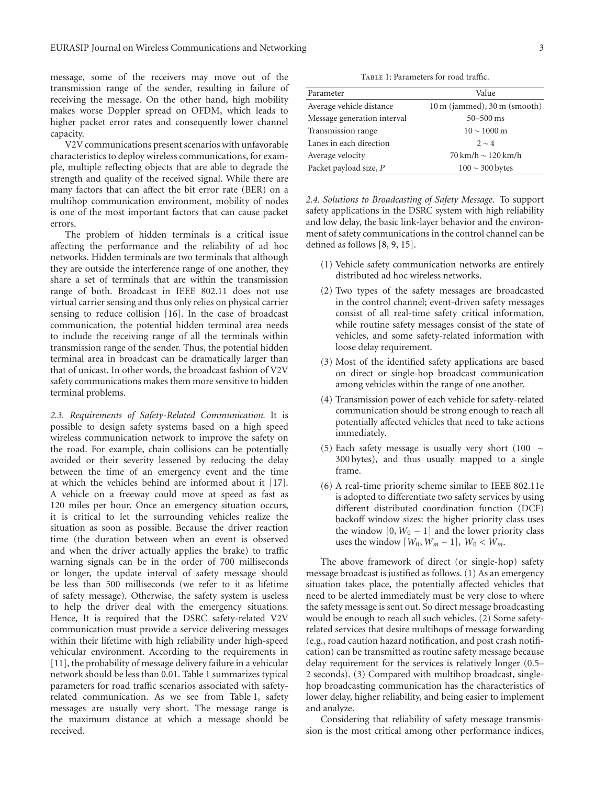message, some of the receivers may move out of the transmission range of the sender, resulting in failure of receiving the message. On the other hand, high mobility makes worse Doppler spread on OFDM, which leads to higher packet error rates and consequently lower channel capacity.

V2V communications present scenarios with unfavorable characteristics to deploy wireless communications, for example, multiple reflecting objects that are able to degrade the strength and quality of the received signal. While there are many factors that can affect the bit error rate (BER) on a multihop communication environment, mobility of nodes is one of the most important factors that can cause packet errors.

The problem of hidden terminals is a critical issue affecting the performance and the reliability of ad hoc networks. Hidden terminals are two terminals that although they are outside the interference range of one another, they share a set of terminals that are within the transmission range of both. Broadcast in IEEE 802.11 does not use virtual carrier sensing and thus only relies on physical carrier sensing to reduce collision [16]. In the case of broadcast communication, the potential hidden terminal area needs to include the receiving range of all the terminals within transmission range of the sender. Thus, the potential hidden terminal area in broadcast can be dramatically larger than that of unicast. In other words, the broadcast fashion of V2V safety communications makes them more sensitive to hidden terminal problems.

*2.3. Requirements of Safety-Related Communication.* It is possible to design safety systems based on a high speed wireless communication network to improve the safety on the road. For example, chain collisions can be potentially avoided or their severity lessened by reducing the delay between the time of an emergency event and the time at which the vehicles behind are informed about it [17]. A vehicle on a freeway could move at speed as fast as 120 miles per hour. Once an emergency situation occurs, it is critical to let the surrounding vehicles realize the situation as soon as possible. Because the driver reaction time (the duration between when an event is observed and when the driver actually applies the brake) to traffic warning signals can be in the order of 700 milliseconds or longer, the update interval of safety message should be less than 500 milliseconds (we refer to it as lifetime of safety message). Otherwise, the safety system is useless to help the driver deal with the emergency situations. Hence, It is required that the DSRC safety-related V2V communication must provide a service delivering messages within their lifetime with high reliability under high-speed vehicular environment. According to the requirements in [11], the probability of message delivery failure in a vehicular network should be less than 0.01. Table 1 summarizes typical parameters for road traffic scenarios associated with safetyrelated communication. As we see from Table 1, safety messages are usually very short. The message range is the maximum distance at which a message should be received.

TABLE 1: Parameters for road traffic.

| Parameter                   | Value                                            |
|-----------------------------|--------------------------------------------------|
| Average vehicle distance    | $10 \text{ m}$ (jammed), $30 \text{ m}$ (smooth) |
| Message generation interval | $50 - 500$ ms                                    |
| Transmission range          | $10 \sim 1000$ m                                 |
| Lanes in each direction     | $2 \sim 4$                                       |
| Average velocity            | $70 \text{ km/h} \sim 120 \text{ km/h}$          |
| Packet payload size, P      | $100 \sim 300$ bytes                             |

*2.4. Solutions to Broadcasting of Safety Message.* To support safety applications in the DSRC system with high reliability and low delay, the basic link-layer behavior and the environment of safety communications in the control channel can be defined as follows [8, 9, 15].

- (1) Vehicle safety communication networks are entirely distributed ad hoc wireless networks.
- (2) Two types of the safety messages are broadcasted in the control channel; event-driven safety messages consist of all real-time safety critical information, while routine safety messages consist of the state of vehicles, and some safety-related information with loose delay requirement.
- (3) Most of the identified safety applications are based on direct or single-hop broadcast communication among vehicles within the range of one another.
- (4) Transmission power of each vehicle for safety-related communication should be strong enough to reach all potentially affected vehicles that need to take actions immediately.
- (5) Each safety message is usually very short (100 ∼ 300 bytes), and thus usually mapped to a single frame.
- (6) A real-time priority scheme similar to IEEE 802.11e is adopted to differentiate two safety services by using different distributed coordination function (DCF) backoff window sizes: the higher priority class uses the window  $[0, W_0 - 1]$  and the lower priority class uses the window  $[W_0, W_m - 1], W_0 < W_m$ .

The above framework of direct (or single-hop) safety message broadcast is justified as follows. (1) As an emergency situation takes place, the potentially affected vehicles that need to be alerted immediately must be very close to where the safety message is sent out. So direct message broadcasting would be enough to reach all such vehicles. (2) Some safetyrelated services that desire multihops of message forwarding (e.g., road caution hazard notification, and post crash notification) can be transmitted as routine safety message because delay requirement for the services is relatively longer (0.5– 2 seconds). (3) Compared with multihop broadcast, singlehop broadcasting communication has the characteristics of lower delay, higher reliability, and being easier to implement and analyze.

Considering that reliability of safety message transmission is the most critical among other performance indices,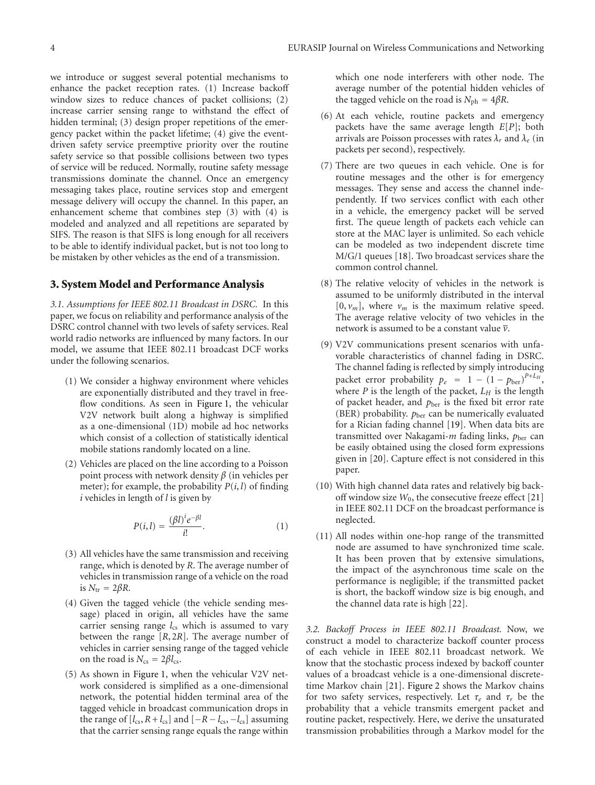we introduce or suggest several potential mechanisms to enhance the packet reception rates. (1) Increase backoff window sizes to reduce chances of packet collisions; (2) increase carrier sensing range to withstand the effect of hidden terminal; (3) design proper repetitions of the emergency packet within the packet lifetime; (4) give the eventdriven safety service preemptive priority over the routine safety service so that possible collisions between two types of service will be reduced. Normally, routine safety message transmissions dominate the channel. Once an emergency messaging takes place, routine services stop and emergent message delivery will occupy the channel. In this paper, an enhancement scheme that combines step (3) with (4) is modeled and analyzed and all repetitions are separated by SIFS. The reason is that SIFS is long enough for all receivers to be able to identify individual packet, but is not too long to be mistaken by other vehicles as the end of a transmission.

#### **3. System Model and Performance Analysis**

*3.1. Assumptions for IEEE 802.11 Broadcast in DSRC.* In this paper, we focus on reliability and performance analysis of the DSRC control channel with two levels of safety services. Real world radio networks are influenced by many factors. In our model, we assume that IEEE 802.11 broadcast DCF works under the following scenarios.

- (1) We consider a highway environment where vehicles are exponentially distributed and they travel in freeflow conditions. As seen in Figure 1, the vehicular V2V network built along a highway is simplified as a one-dimensional (1D) mobile ad hoc networks which consist of a collection of statistically identical mobile stations randomly located on a line.
- (2) Vehicles are placed on the line according to a Poisson point process with network density *β* (in vehicles per meter); for example, the probability  $P(i, l)$  of finding *i* vehicles in length of *l* is given by

$$
P(i,l) = \frac{(\beta l)^{i} e^{-\beta l}}{i!}.
$$
 (1)

- (3) All vehicles have the same transmission and receiving range, which is denoted by *R*. The average number of vehicles in transmission range of a vehicle on the road is  $N_{\text{tr}} = 2\beta R$ .
- (4) Given the tagged vehicle (the vehicle sending message) placed in origin, all vehicles have the same carrier sensing range  $l_{cs}$  which is assumed to vary between the range [*R*, 2*R*]. The average number of vehicles in carrier sensing range of the tagged vehicle on the road is  $N_{\rm cs} = 2\beta l_{\rm cs}$ .
- (5) As shown in Figure 1, when the vehicular V2V network considered is simplified as a one-dimensional network, the potential hidden terminal area of the tagged vehicle in broadcast communication drops in the range of  $[l_{cs}, R + l_{cs}]$  and  $[-R - l_{cs}, -l_{cs}]$  assuming that the carrier sensing range equals the range within

which one node interferers with other node. The average number of the potential hidden vehicles of the tagged vehicle on the road is  $N_{\text{ph}} = 4\beta R$ .

- (6) At each vehicle, routine packets and emergency packets have the same average length *E*[*P*]; both arrivals are Poisson processes with rates *λr* and *λe* (in packets per second), respectively.
- (7) There are two queues in each vehicle. One is for routine messages and the other is for emergency messages. They sense and access the channel independently. If two services conflict with each other in a vehicle, the emergency packet will be served first. The queue length of packets each vehicle can store at the MAC layer is unlimited. So each vehicle can be modeled as two independent discrete time M/G/1 queues [18]. Two broadcast services share the common control channel.
- (8) The relative velocity of vehicles in the network is assumed to be uniformly distributed in the interval  $[0, v_m]$ , where  $v_m$  is the maximum relative speed. The average relative velocity of two vehicles in the network is assumed to be a constant value *v*.
- (9) V2V communications present scenarios with unfavorable characteristics of channel fading in DSRC. The channel fading is reflected by simply introducing packet error probability  $p_e = 1 - (1 - p_{\text{ber}})^{P + L_H}$ , where  $P$  is the length of the packet,  $L_H$  is the length of packet header, and  $p_{\text{ber}}$  is the fixed bit error rate (BER) probability.  $p_{\text{ber}}$  can be numerically evaluated for a Rician fading channel [19]. When data bits are transmitted over Nakagami-*m* fading links,  $p_{\text{ber}}$  can be easily obtained using the closed form expressions given in [20]. Capture effect is not considered in this paper.
- (10) With high channel data rates and relatively big backoff window size  $W_0$ , the consecutive freeze effect [21] in IEEE 802.11 DCF on the broadcast performance is neglected.
- (11) All nodes within one-hop range of the transmitted node are assumed to have synchronized time scale. It has been proven that by extensive simulations, the impact of the asynchronous time scale on the performance is negligible; if the transmitted packet is short, the backoff window size is big enough, and the channel data rate is high [22].

*3.2. Backoff Process in IEEE 802.11 Broadcast.* Now, we construct a model to characterize backoff counter process of each vehicle in IEEE 802.11 broadcast network. We know that the stochastic process indexed by backoff counter values of a broadcast vehicle is a one-dimensional discretetime Markov chain [21]. Figure 2 shows the Markov chains for two safety services, respectively. Let *τe* and *τr* be the probability that a vehicle transmits emergent packet and routine packet, respectively. Here, we derive the unsaturated transmission probabilities through a Markov model for the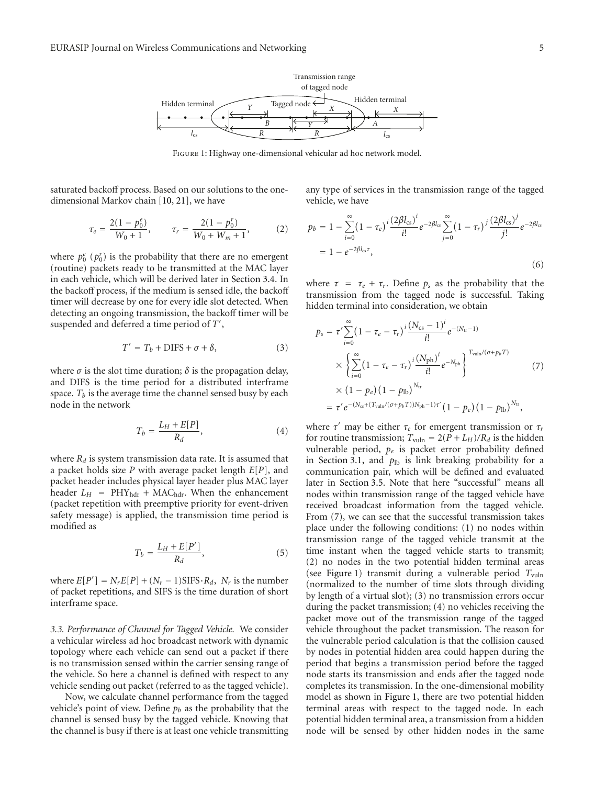

Figure 1: Highway one-dimensional vehicular ad hoc network model.

saturated backoff process. Based on our solutions to the onedimensional Markov chain [10, 21], we have

$$
\tau_e = \frac{2(1 - p_0^e)}{W_0 + 1}, \qquad \tau_r = \frac{2(1 - p_0^r)}{W_0 + W_m + 1}, \tag{2}
$$

where  $p_0^e$  ( $p_0^r$ ) is the probability that there are no emergent (routine) packets ready to be transmitted at the MAC layer in each vehicle, which will be derived later in Section 3.4. In the backoff process, if the medium is sensed idle, the backoff timer will decrease by one for every idle slot detected. When detecting an ongoing transmission, the backoff timer will be suspended and deferred a time period of *T* ,

$$
T' = T_b + \text{DIFS} + \sigma + \delta,\tag{3}
$$

where  $\sigma$  is the slot time duration;  $\delta$  is the propagation delay, and DIFS is the time period for a distributed interframe space.  $T_b$  is the average time the channel sensed busy by each node in the network

$$
T_b = \frac{L_H + E[P]}{R_d},\tag{4}
$$

where  $R_d$  is system transmission data rate. It is assumed that a packet holds size *P* with average packet length *E*[*P*], and packet header includes physical layer header plus MAC layer header  $L_H$  = PHY<sub>hdr</sub> + MAC<sub>hdr</sub>. When the enhancement (packet repetition with preemptive priority for event-driven safety message) is applied, the transmission time period is modified as

$$
T_b = \frac{L_H + E[P']}{R_d},\tag{5}
$$

where  $E[P'] = N_r E[P] + (N_r - 1)$ SIFS· $R_d$ ,  $N_r$  is the number of packet repetitions, and SIFS is the time duration of short interframe space.

*3.3. Performance of Channel for Tagged Vehicle.* We consider a vehicular wireless ad hoc broadcast network with dynamic topology where each vehicle can send out a packet if there is no transmission sensed within the carrier sensing range of the vehicle. So here a channel is defined with respect to any vehicle sending out packet (referred to as the tagged vehicle).

Now, we calculate channel performance from the tagged vehicle's point of view. Define  $p_b$  as the probability that the channel is sensed busy by the tagged vehicle. Knowing that the channel is busy if there is at least one vehicle transmitting any type of services in the transmission range of the tagged vehicle, we have

$$
p_b = 1 - \sum_{i=0}^{\infty} (1 - \tau_e)^i \frac{(2\beta l_{cs})^i}{i!} e^{-2\beta l_{cs}} \sum_{j=0}^{\infty} (1 - \tau_r)^j \frac{(2\beta l_{cs})^j}{j!} e^{-2\beta l_{cs}}
$$
  
= 1 - e^{-2\beta l\_{cs} \tau}, (6)

where  $\tau = \tau_e + \tau_r$ . Define  $p_s$  as the probability that the transmission from the tagged node is successful. Taking hidden terminal into consideration, we obtain

$$
p_s = \tau' \sum_{i=0}^{\infty} (1 - \tau_e - \tau_r)^i \frac{(N_{cs} - 1)^i}{i!} e^{-(N_{tr} - 1)}
$$
  
 
$$
\times \left\{ \sum_{i=0}^{\infty} (1 - \tau_e - \tau_r)^i \frac{(N_{\text{ph}})^i}{i!} e^{-N_{\text{ph}}} \right\}^{T_{\text{vuln}}/(\sigma + p_b T)}
$$
  
 
$$
\times (1 - p_e) (1 - p_{\text{lb}})^{N_{\text{tr}}}
$$
  
=  $\tau' e^{-(N_{cs} + (T_{\text{vuln}}/(\sigma + p_b T))N_{\text{ph}} - 1)\tau'} (1 - p_e) (1 - p_{\text{lb}})^{N_{\text{tr}}},$  (7)

where  $\tau'$  may be either  $\tau_e$  for emergent transmission or  $\tau_r$ for routine transmission;  $T_{\text{vuln}} = 2(P + L_H)/R_d$  is the hidden vulnerable period, *p<sup>e</sup>* is packet error probability defined in Section 3.1, and  $p_{\rm lb}$  is link breaking probability for a communication pair, which will be defined and evaluated later in Section 3.5. Note that here "successful" means all nodes within transmission range of the tagged vehicle have received broadcast information from the tagged vehicle. From (7), we can see that the successful transmission takes place under the following conditions: (1) no nodes within transmission range of the tagged vehicle transmit at the time instant when the tagged vehicle starts to transmit; (2) no nodes in the two potential hidden terminal areas (see Figure 1) transmit during a vulnerable period  $T_{\text{vuln}}$ (normalized to the number of time slots through dividing by length of a virtual slot); (3) no transmission errors occur during the packet transmission; (4) no vehicles receiving the packet move out of the transmission range of the tagged vehicle throughout the packet transmission. The reason for the vulnerable period calculation is that the collision caused by nodes in potential hidden area could happen during the period that begins a transmission period before the tagged node starts its transmission and ends after the tagged node completes its transmission. In the one-dimensional mobility model as shown in Figure 1, there are two potential hidden terminal areas with respect to the tagged node. In each potential hidden terminal area, a transmission from a hidden node will be sensed by other hidden nodes in the same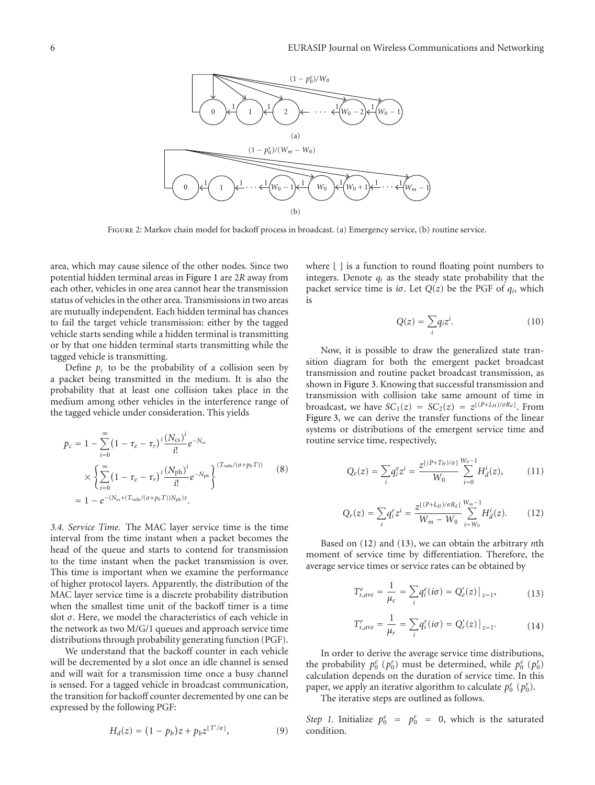

Figure 2: Markov chain model for backoff process in broadcast. (a) Emergency service, (b) routine service.

area, which may cause silence of the other nodes. Since two potential hidden terminal areas in Figure 1 are 2*R* away from each other, vehicles in one area cannot hear the transmission status of vehicles in the other area. Transmissions in two areas are mutually independent. Each hidden terminal has chances to fail the target vehicle transmission: either by the tagged vehicle starts sending while a hidden terminal is transmitting or by that one hidden terminal starts transmitting while the tagged vehicle is transmitting.

Define  $p_c$  to be the probability of a collision seen by a packet being transmitted in the medium. It is also the probability that at least one collision takes place in the medium among other vehicles in the interference range of the tagged vehicle under consideration. This yields

$$
p_c = 1 - \sum_{i=0}^{\infty} (1 - \tau_e - \tau_r)^i \frac{(N_{cs})^i}{i!} e^{-N_{cs}}
$$
  
 
$$
\times \left\{ \sum_{i=0}^{\infty} (1 - \tau_e - \tau_r)^i \frac{(N_{\text{ph}})^i}{i!} e^{-N_{\text{ph}}} \right\}^{(T_{\text{vuln}}/(\sigma + p_b T))}
$$
(8)  
= 1 - e^{-(N\_{cs} + (T\_{\text{vuln}}/(\sigma + p\_b T))N\_{\text{ph}})\tau}.

*3.4. Service Time.* The MAC layer service time is the time interval from the time instant when a packet becomes the head of the queue and starts to contend for transmission to the time instant when the packet transmission is over. This time is important when we examine the performance of higher protocol layers. Apparently, the distribution of the MAC layer service time is a discrete probability distribution when the smallest time unit of the backoff timer is a time slot *σ*. Here, we model the characteristics of each vehicle in the network as two M/G/1 queues and approach service time distributions through probability generating function (PGF).

We understand that the backoff counter in each vehicle will be decremented by a slot once an idle channel is sensed and will wait for a transmission time once a busy channel is sensed. For a tagged vehicle in broadcast communication, the transition for backoff counter decremented by one can be expressed by the following PGF:

$$
H_d(z) = (1 - p_b)z + p_b z^{[T'/\sigma]}, \qquad (9)
$$

where  $\lfloor \cdot \rfloor$  is a function to round floating point numbers to integers. Denote *q<sup>i</sup>* as the steady state probability that the packet service time is *iσ*. Let *Q*(*z*) be the PGF of *qi*, which is

$$
Q(z) = \sum_{i} q_i z^i.
$$
 (10)

Now, it is possible to draw the generalized state transition diagram for both the emergent packet broadcast transmission and routine packet broadcast transmission, as shown in Figure 3. Knowing that successful transmission and transmission with collision take same amount of time in broadcast, we have  $SC_1(z) = SC_2(z) = z^{\lfloor (P+L_H)/\sigma R_d \rfloor}$ . From Figure 3, we can derive the transfer functions of the linear systems or distributions of the emergent service time and routine service time, respectively,

$$
Q_e(z) = \sum_i q_i^e z^i = \frac{z^{\lfloor (P+T_H)/\sigma \rfloor}}{W_0} \sum_{i=0}^{W_0-1} H_d^i(z), \quad (11)
$$

$$
Q_r(z) = \sum_i q_i^r z^i = \frac{z^{[(P+L_H)/\sigma R_d]}}{W_m - W_0} \sum_{i=W_0}^{W_m - 1} H_d^i(z).
$$
 (12)

Based on (12) and (13), we can obtain the arbitrary *n*th moment of service time by differentiation. Therefore, the average service times or service rates can be obtained by

$$
T_{s,ave}^{e} = \frac{1}{\mu_{e}} = \sum_{i} q_{i}^{e}(i\sigma) = Q_{e}'(z)|_{z=1},
$$
 (13)

$$
T_{s,ave}^{r} = \frac{1}{\mu_{r}} = \sum_{i} q_{i}^{r}(i\sigma) = Q_{r}'(z)|_{z=1}.
$$
 (14)

In order to derive the average service time distributions, the probability  $p_0^e$  ( $p_0^r$ ) must be determined, while  $p_0^e$  ( $p_0^r$ ) calculation depends on the duration of service time. In this paper, we apply an iterative algorithm to calculate  $p_0^e$  ( $p_0^r$ ).

The iterative steps are outlined as follows.

*Step* 1. Initialize  $p_0^e = p_0^r = 0$ , which is the saturated condition.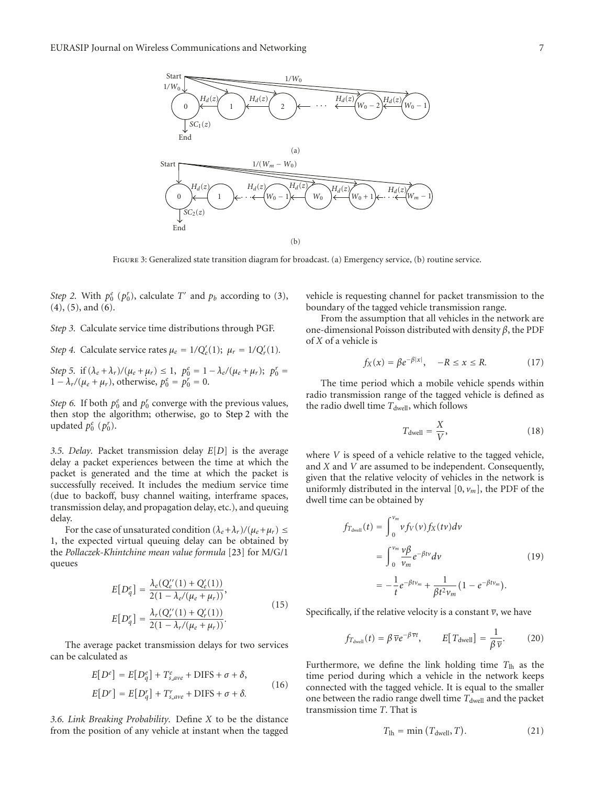

Figure 3: Generalized state transition diagram for broadcast. (a) Emergency service, (b) routine service.

*Step 2.* With  $p_0^e$  ( $p_0^r$ ), calculate  $T'$  and  $p_b$  according to (3),  $(4)$ ,  $(5)$ , and  $(6)$ .

*Step 3.* Calculate service time distributions through PGF.

*Step 4.* Calculate service rates  $\mu_e = 1/Q'_e(1)$ ;  $\mu_r = 1/Q'_r(1)$ *.* 

*Step 5.* if  $(\lambda_e + \lambda_r)/(\mu_e + \mu_r) \le 1$ ,  $p_0^e = 1 - \lambda_e/(\mu_e + \mu_r)$ ;  $p_0^r =$  $1 - \lambda_r / (\mu_e + \mu_r)$ , otherwise,  $p_0^e = p_0^r = 0$ .

*Step 6.* If both  $p_0^e$  and  $p_0^r$  converge with the previous values, then stop the algorithm; otherwise, go to Step 2 with the updated  $p_0^e$  ( $p_0^r$ ).

*3.5. Delay.* Packet transmission delay *E*[*D*] is the average delay a packet experiences between the time at which the packet is generated and the time at which the packet is successfully received. It includes the medium service time (due to backoff, busy channel waiting, interframe spaces, transmission delay, and propagation delay, etc.), and queuing delay.

For the case of unsaturated condition  $(\lambda_e + \lambda_r)/(\mu_e + \mu_r) \le$ 1, the expected virtual queuing delay can be obtained by the *Pollaczek-Khintchine mean value formula* [23] for M/G/1 queues

$$
E[D_q^e] = \frac{\lambda_e(Q_e''(1) + Q_e'(1))}{2(1 - \lambda_e/(\mu_e + \mu_r))},
$$
  
\n
$$
E[D_q^r] = \frac{\lambda_r(Q_r''(1) + Q_r'(1))}{2(1 - \lambda_r/(\mu_e + \mu_r))}.
$$
\n(15)

The average packet transmission delays for two services can be calculated as

$$
E[D^{e}] = E[D_{q}^{e}] + T_{s,ave}^{e} + \text{DIFS} + \sigma + \delta,
$$
  
\n
$$
E[D^{r}] = E[D_{q}^{r}] + T_{s,ave}^{r} + \text{DIFS} + \sigma + \delta.
$$
 (16)

*3.6. Link Breaking Probability.* Define *X* to be the distance from the position of any vehicle at instant when the tagged vehicle is requesting channel for packet transmission to the boundary of the tagged vehicle transmission range.

From the assumption that all vehicles in the network are one-dimensional Poisson distributed with density *β*, the PDF of *X* of a vehicle is

$$
f_X(x) = \beta e^{-\beta |x|}, \quad -R \le x \le R. \tag{17}
$$

The time period which a mobile vehicle spends within radio transmission range of the tagged vehicle is defined as the radio dwell time  $T_{dwell}$ , which follows

$$
T_{\text{dwell}} = \frac{X}{V},\tag{18}
$$

where *V* is speed of a vehicle relative to the tagged vehicle, and *X* and *V* are assumed to be independent. Consequently, given that the relative velocity of vehicles in the network is uniformly distributed in the interval  $[0, v_m]$ , the PDF of the dwell time can be obtained by

$$
f_{T_{\text{dwell}}}(t) = \int_0^{\nu_m} v f_V(v) f_X(tv) dv
$$
  
= 
$$
\int_0^{\nu_m} \frac{\nu \beta}{\nu_m} e^{-\beta t v} dv
$$
  
= 
$$
-\frac{1}{t} e^{-\beta t \nu_m} + \frac{1}{\beta t^2 \nu_m} (1 - e^{-\beta t \nu_m}).
$$
 (19)

Specifically, if the relative velocity is a constant  $\overline{v}$ , we have

$$
f_{T_{\text{dwell}}}(t) = \beta \,\overline{\nu} e^{-\beta \,\overline{\nu} t}, \qquad E[T_{\text{dwell}}] = \frac{1}{\beta \,\overline{\nu}}. \tag{20}
$$

Furthermore, we define the link holding time *T*lh as the time period during which a vehicle in the network keeps connected with the tagged vehicle. It is equal to the smaller one between the radio range dwell time T<sub>dwell</sub> and the packet transmission time *T*. That is

$$
T_{\rm lh} = \min\left(T_{\rm dwell}, T\right). \tag{21}
$$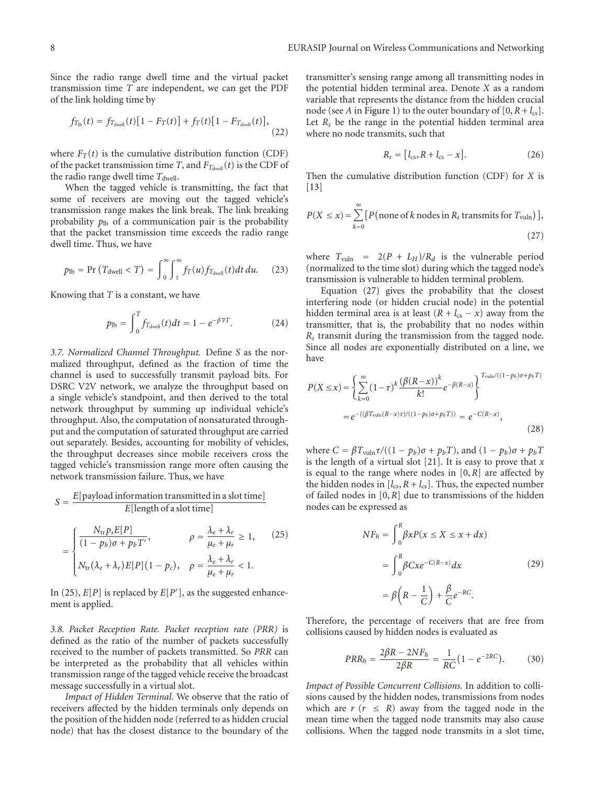Since the radio range dwell time and the virtual packet transmission time *T* are independent, we can get the PDF of the link holding time by

$$
f_{T_{\text{lh}}}(t) = f_{T_{\text{dwell}}}(t) [1 - F_T(t)] + f_T(t) [1 - F_{T_{\text{dwell}}}(t)],
$$
\n(22)

where  $F_T(t)$  is the cumulative distribution function (CDF) of the packet transmission time *T*, and  $F_{T_{\text{dwell}}}(t)$  is the CDF of the radio range dwell time  $T_{dwell}$ .

When the tagged vehicle is transmitting, the fact that some of receivers are moving out the tagged vehicle's transmission range makes the link break. The link breaking probability  $p_{\text{lb}}$  of a communication pair is the probability that the packet transmission time exceeds the radio range dwell time. Thus, we have

$$
p_{\text{lb}} = \Pr(T_{\text{dwell}} < T) = \int_0^\infty \int_t^\infty f_T(u) f_{T_{\text{dwell}}}(t) dt \, du. \tag{23}
$$

Knowing that *T* is a constant, we have

$$
p_{\rm lb} = \int_0^T f_{T_{\rm dwell}}(t) dt = 1 - e^{-\beta \bar{\nu} T}.
$$
 (24)

*3.7. Normalized Channel Throughput.* Define *S* as the normalized throughput, defined as the fraction of time the channel is used to successfully transmit payload bits. For DSRC V2V network, we analyze the throughput based on a single vehicle's standpoint, and then derived to the total network throughput by summing up individual vehicle's throughput. Also, the computation of nonsaturated throughput and the computation of saturated throughput are carried out separately. Besides, accounting for mobility of vehicles, the throughput decreases since mobile receivers cross the tagged vehicle's transmission range more often causing the network transmission failure. Thus, we have

$$
S = \frac{E[\text{payload information transmitted in a slot time}]}{E[\text{length of a slot time}]}
$$
  
= 
$$
\begin{cases} \frac{N_{\text{tr}} p_s E[P]}{(1 - p_b) \sigma + p_b T'}, & \rho = \frac{\lambda_e + \lambda_r}{\mu_e + \mu_r} \ge 1, \\ N_{\text{tr}}(\lambda_e + \lambda_r) E[P](1 - p_c), & \rho = \frac{\lambda_e + \lambda_r}{\mu_e + \mu_r} < 1. \end{cases}
$$
(25)

In (25), *E*[*P*] is replaced by *E*[*P* ], as the suggested enhancement is applied.

*3.8. Packet Reception Rate. Packet reception rate (PRR)* is defined as the ratio of the number of packets successfully received to the number of packets transmitted. So *PRR* can be interpreted as the probability that all vehicles within transmission range of the tagged vehicle receive the broadcast message successfully in a virtual slot.

*Impact of Hidden Terminal.* We observe that the ratio of receivers affected by the hidden terminals only depends on the position of the hidden node (referred to as hidden crucial node) that has the closest distance to the boundary of the

transmitter's sensing range among all transmitting nodes in the potential hidden terminal area. Denote *X* as a random variable that represents the distance from the hidden crucial node (see *A* in Figure 1) to the outer boundary of  $[0, R + l_{cs}]$ . Let  $R_s$  be the range in the potential hidden terminal area where no node transmits, such that

$$
R_s = [l_{cs}, R + l_{cs} - x].
$$
 (26)

Then the cumulative distribution function (CDF) for *X* is  $[13]$ 

$$
P(X \le x) = \sum_{k=0}^{\infty} [P(\text{none of } k \text{ nodes in } R_s \text{ transmits for } T_{\text{vuln}})],
$$
\n(27)

where  $T_{\text{vuln}} = 2(P + L_H)/R_d$  is the vulnerable period (normalized to the time slot) during which the tagged node's transmission is vulnerable to hidden terminal problem.

Equation (27) gives the probability that the closest interfering node (or hidden crucial node) in the potential hidden terminal area is at least  $(R + l_{cs} - x)$  away from the transmitter, that is, the probability that no nodes within *R<sup>s</sup>* transmit during the transmission from the tagged node. Since all nodes are exponentially distributed on a line, we have

$$
P(X \le x) = \left\{ \sum_{k=0}^{\infty} (1-\tau)^k \frac{(\beta(R-x))^k}{k!} e^{-\beta(R-x)} \right\}^{T_{\text{vuln}/((1-p_b)\sigma+p_b T)}}
$$
  
=  $e^{-((\beta T_{\text{vuln}}(R-x)\tau)/((1-p_b)\sigma+p_b T))} = e^{-C(R-x)},$  (28)

where  $C = \beta T_{\text{vuln}} \tau / ((1 - p_b)\sigma + p_bT)$ , and  $(1 - p_b)\sigma + p_bT$ is the length of a virtual slot [21]. It is easy to prove that *x* is equal to the range where nodes in [0,*R*] are affected by the hidden nodes in  $[l_{cs}, R + l_{cs}]$ . Thus, the expected number of failed nodes in [0, *R*] due to transmissions of the hidden nodes can be expressed as

$$
NF_h = \int_0^R \beta x P(x \le X \le x + dx)
$$
  
= 
$$
\int_0^R \beta C x e^{-C(R-x)} dx
$$
 (29)  
= 
$$
\beta \left(R - \frac{1}{C}\right) + \frac{\beta}{C} e^{-RC}.
$$

Therefore, the percentage of receivers that are free from collisions caused by hidden nodes is evaluated as

$$
PRR_h = \frac{2\beta R - 2NF_h}{2\beta R} = \frac{1}{RC}(1 - e^{-2RC}).
$$
 (30)

*Impact of Possible Concurrent Collisions.* In addition to collisions caused by the hidden nodes, transmissions from nodes which are  $r (r \leq R)$  away from the tagged node in the mean time when the tagged node transmits may also cause collisions. When the tagged node transmits in a slot time,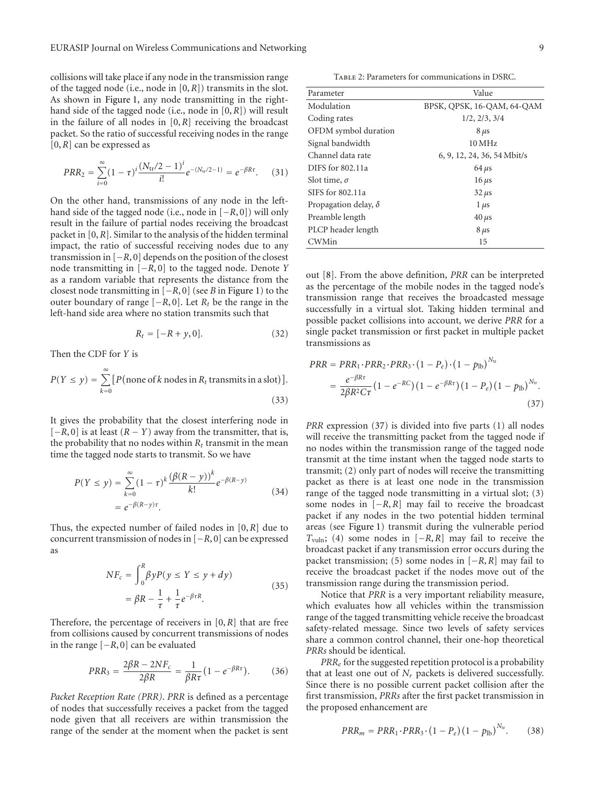collisions will take place if any node in the transmission range of the tagged node (i.e., node in [0, *R*]) transmits in the slot. As shown in Figure 1, any node transmitting in the righthand side of the tagged node (i.e., node in [0, *R*]) will result in the failure of all nodes in [0,*R*] receiving the broadcast packet. So the ratio of successful receiving nodes in the range [0, *R*] can be expressed as

$$
PRR_2 = \sum_{i=0}^{\infty} (1-\tau)^i \frac{(N_{\text{tr}}/2 - 1)^i}{i!} e^{-(N_{\text{tr}}/2 - 1)} = e^{-\beta R \tau}.
$$
 (31)

On the other hand, transmissions of any node in the lefthand side of the tagged node (i.e., node in [−*R*, 0]) will only result in the failure of partial nodes receiving the broadcast packet in [0, *R*]. Similar to the analysis of the hidden terminal impact, the ratio of successful receiving nodes due to any transmission in [−*R*, 0] depends on the position of the closest node transmitting in [−*R*, 0] to the tagged node. Denote *Y* as a random variable that represents the distance from the closest node transmitting in [−*R*, 0] (see *B* in Figure 1) to the outer boundary of range [−*R*, 0]. Let *R<sup>t</sup>* be the range in the left-hand side area where no station transmits such that

$$
R_t = [-R + y, 0].
$$
 (32)

Then the CDF for *Y* is

$$
P(Y \le y) = \sum_{k=0}^{\infty} [P(\text{none of } k \text{ nodes in } R_t \text{ transmits in a slot})].
$$
\n(33)

It gives the probability that the closest interfering node in  $[-R, 0]$  is at least  $(R - Y)$  away from the transmitter, that is, the probability that no nodes within  $R_t$  transmit in the mean time the tagged node starts to transmit. So we have

$$
P(Y \le y) = \sum_{k=0}^{\infty} (1 - \tau)^k \frac{(\beta (R - y))^k}{k!} e^{-\beta (R - y)}
$$
  
=  $e^{-\beta (R - y)\tau}$ . (34)

Thus, the expected number of failed nodes in [0,*R*] due to concurrent transmission of nodes in [−*R*, 0] can be expressed as

$$
NF_c = \int_0^R \beta y P(y \le Y \le y + dy)
$$
  
=  $\beta R - \frac{1}{\tau} + \frac{1}{\tau} e^{-\beta \tau R}$ . (35)

Therefore, the percentage of receivers in [0, *R*] that are free from collisions caused by concurrent transmissions of nodes in the range [−*R*, 0] can be evaluated

$$
PRR_3 = \frac{2\beta R - 2NF_c}{2\beta R} = \frac{1}{\beta R\tau} (1 - e^{-\beta R\tau}).
$$
 (36)

*Packet Reception Rate (PRR)*. *PRR* is defined as a percentage of nodes that successfully receives a packet from the tagged node given that all receivers are within transmission the range of the sender at the moment when the packet is sent

Table 2: Parameters for communications in DSRC.

| Parameter                   | Value                       |
|-----------------------------|-----------------------------|
| Modulation                  | BPSK, OPSK, 16-OAM, 64-OAM  |
| Coding rates                | 1/2, 2/3, 3/4               |
| OFDM symbol duration        | $8 \mu s$                   |
| Signal bandwidth            | 10 MHz                      |
| Channel data rate           | 6, 9, 12, 24, 36, 54 Mbit/s |
| DIFS for 802.11a            | $64 \mu s$                  |
| Slot time, $\sigma$         | $16 \mu s$                  |
| SIFS for 802.11a            | $32 \mu s$                  |
| Propagation delay, $\delta$ | $1 \mu s$                   |
| Preamble length             | $40 \mu s$                  |
| PLCP header length          | $8 \mu s$                   |
| CWMin                       | 15                          |

out [8]. From the above definition, *PRR* can be interpreted as the percentage of the mobile nodes in the tagged node's transmission range that receives the broadcasted message successfully in a virtual slot. Taking hidden terminal and possible packet collisions into account, we derive *PRR* for a single packet transmission or first packet in multiple packet transmissions as

$$
PRR = PRR_1 \cdot PRR_2 \cdot PRR_3 \cdot (1 - P_e) \cdot (1 - p_{lb})^{N_{tr}}
$$
  
= 
$$
\frac{e^{-\beta R\tau}}{2\beta R^2 C\tau} (1 - e^{-RC}) (1 - e^{-\beta R\tau}) (1 - P_e) (1 - p_{lb})^{N_{tr}}.
$$
  
(37)

*PRR* expression (37) is divided into five parts (1) all nodes will receive the transmitting packet from the tagged node if no nodes within the transmission range of the tagged node transmit at the time instant when the tagged node starts to transmit; (2) only part of nodes will receive the transmitting packet as there is at least one node in the transmission range of the tagged node transmitting in a virtual slot; (3) some nodes in [−*R*, *R*] may fail to receive the broadcast packet if any nodes in the two potential hidden terminal areas (see Figure 1) transmit during the vulnerable period *T*<sub>vuln</sub>; (4) some nodes in [−*R*, *R*] may fail to receive the broadcast packet if any transmission error occurs during the packet transmission; (5) some nodes in [−*R*, *R*] may fail to receive the broadcast packet if the nodes move out of the transmission range during the transmission period.

Notice that *PRR* is a very important reliability measure, which evaluates how all vehicles within the transmission range of the tagged transmitting vehicle receive the broadcast safety-related message. Since two levels of safety services share a common control channel, their one-hop theoretical *PRRs* should be identical.

*PRR<sup>e</sup>* for the suggested repetition protocol is a probability that at least one out of  $N_r$  packets is delivered successfully. Since there is no possible current packet collision after the first transmission, *PRRs* after the first packet transmission in the proposed enhancement are

$$
PRR_m = PRR_1 \cdot PRR_3 \cdot (1 - P_e) (1 - p_{lb})^{N_{tr}}.
$$
 (38)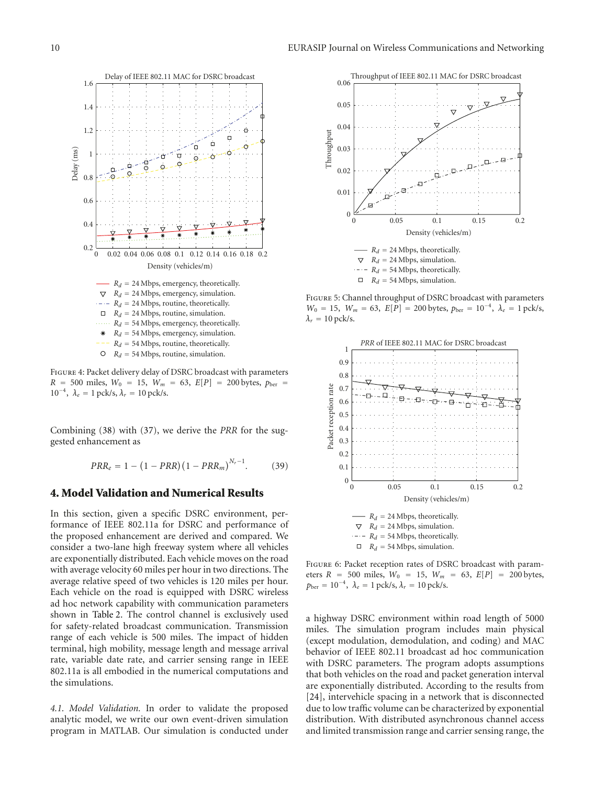

Figure 4: Packet delivery delay of DSRC broadcast with parameters  $R = 500$  miles,  $W_0 = 15$ ,  $W_m = 63$ ,  $E[P] = 200$  bytes,  $p_{\text{ber}} =$ 10−<sup>4</sup> , *λe* = 1 pck/s, *λr* = 10 pck/s.

Combining (38) with (37), we derive the *PRR* for the suggested enhancement as

$$
PRR_e = 1 - (1 - PRR)(1 - PRR_m)^{N_r - 1}.
$$
 (39)

#### **4. Model Validation and Numerical Results**

In this section, given a specific DSRC environment, performance of IEEE 802.11a for DSRC and performance of the proposed enhancement are derived and compared. We consider a two-lane high freeway system where all vehicles are exponentially distributed. Each vehicle moves on the road with average velocity 60 miles per hour in two directions. The average relative speed of two vehicles is 120 miles per hour. Each vehicle on the road is equipped with DSRC wireless ad hoc network capability with communication parameters shown in Table 2. The control channel is exclusively used for safety-related broadcast communication. Transmission range of each vehicle is 500 miles. The impact of hidden terminal, high mobility, message length and message arrival rate, variable date rate, and carrier sensing range in IEEE 802.11a is all embodied in the numerical computations and the simulations.

*4.1. Model Validation.* In order to validate the proposed analytic model, we write our own event-driven simulation program in MATLAB. Our simulation is conducted under



Figure 5: Channel throughput of DSRC broadcast with parameters  $W_0 = 15$ ,  $W_m = 63$ ,  $E[P] = 200$  bytes,  $p_{\text{ber}} = 10^{-4}$ ,  $\lambda_e = 1$  pck/s,  $\lambda_r = 10 \text{ pc}$ k/s.



Figure 6: Packet reception rates of DSRC broadcast with parameters  $R = 500$  miles,  $W_0 = 15$ ,  $W_m = 63$ ,  $E[P] = 200$  bytes,  $p_{\text{ber}} = 10^{-4}, \ \lambda_e = 1 \text{ pck/s}, \lambda_r = 10 \text{ pck/s}.$ 

a highway DSRC environment within road length of 5000 miles. The simulation program includes main physical (except modulation, demodulation, and coding) and MAC behavior of IEEE 802.11 broadcast ad hoc communication with DSRC parameters. The program adopts assumptions that both vehicles on the road and packet generation interval are exponentially distributed. According to the results from [24], intervehicle spacing in a network that is disconnected due to low traffic volume can be characterized by exponential distribution. With distributed asynchronous channel access and limited transmission range and carrier sensing range, the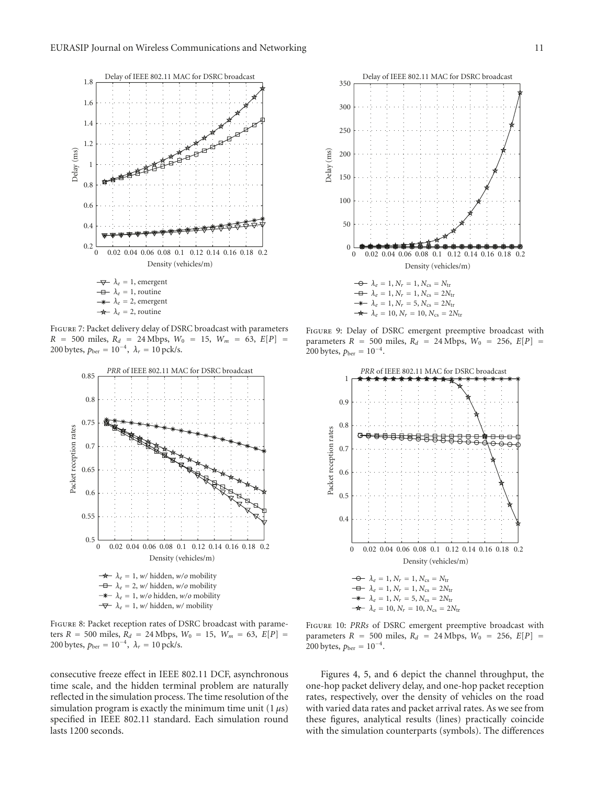

Figure 7: Packet delivery delay of DSRC broadcast with parameters  $R = 500$  miles,  $R_d = 24$  Mbps,  $W_0 = 15$ ,  $W_m = 63$ ,  $E[P] =$ 200 bytes,  $p_{\text{ber}} = 10^{-4}$ ,  $\lambda_r = 10 \text{ pck/s}$ .



Figure 8: Packet reception rates of DSRC broadcast with parameters  $R = 500$  miles,  $R_d = 24$  Mbps,  $W_0 = 15$ ,  $W_m = 63$ ,  $E[P] =$ 200 bytes,  $p_{\text{ber}} = 10^{-4}$ ,  $\lambda_r = 10 \text{ pck/s}$ .

consecutive freeze effect in IEEE 802.11 DCF, asynchronous time scale, and the hidden terminal problem are naturally reflected in the simulation process. The time resolution of the simulation program is exactly the minimum time unit  $(1 \mu s)$ specified in IEEE 802.11 standard. Each simulation round lasts 1200 seconds.



Figure 9: Delay of DSRC emergent preemptive broadcast with parameters  $R = 500$  miles,  $R_d = 24$  Mbps,  $W_0 = 256$ ,  $E[P] =$ 200 bytes,  $p_{\text{ber}} = 10^{-4}$ .



Figure 10: *PRRs* of DSRC emergent preemptive broadcast with parameters  $R = 500$  miles,  $R_d = 24$  Mbps,  $W_0 = 256$ ,  $E[P] =$ 200 bytes,  $p_{\text{ber}} = 10^{-4}$ .

Figures 4, 5, and 6 depict the channel throughput, the one-hop packet delivery delay, and one-hop packet reception rates, respectively, over the density of vehicles on the road with varied data rates and packet arrival rates. As we see from these figures, analytical results (lines) practically coincide with the simulation counterparts (symbols). The differences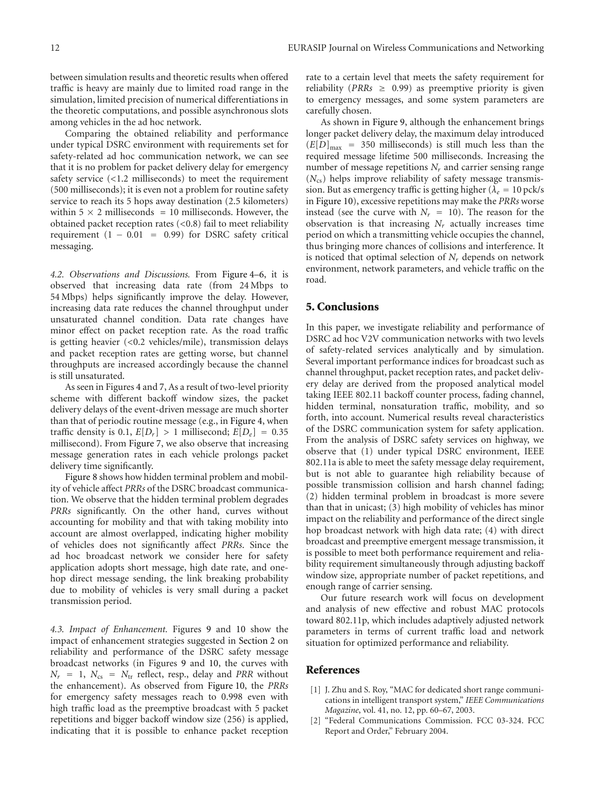between simulation results and theoretic results when offered traffic is heavy are mainly due to limited road range in the simulation, limited precision of numerical differentiations in the theoretic computations, and possible asynchronous slots among vehicles in the ad hoc network.

Comparing the obtained reliability and performance under typical DSRC environment with requirements set for safety-related ad hoc communication network, we can see that it is no problem for packet delivery delay for emergency safety service (*<*1.2 milliseconds) to meet the requirement (500 milliseconds); it is even not a problem for routine safety service to reach its 5 hops away destination (2.5 kilometers) within 5  $\times$  2 milliseconds = 10 milliseconds. However, the obtained packet reception rates (*<*0.8) fail to meet reliability requirement (1 − 0*.*01 = 0*.*99) for DSRC safety critical messaging.

*4.2. Observations and Discussions.* From Figure 4–6, it is observed that increasing data rate (from 24 Mbps to 54 Mbps) helps significantly improve the delay. However, increasing data rate reduces the channel throughput under unsaturated channel condition. Data rate changes have minor effect on packet reception rate. As the road traffic is getting heavier (*<*0.2 vehicles/mile), transmission delays and packet reception rates are getting worse, but channel throughputs are increased accordingly because the channel is still unsaturated.

As seen in Figures 4 and 7, As a result of two-level priority scheme with different backoff window sizes, the packet delivery delays of the event-driven message are much shorter than that of periodic routine message (e.g., in Figure 4, when traffic density is 0.1,  $E[D_r] > 1$  millisecond;  $E[D_e] = 0.35$ millisecond). From Figure 7, we also observe that increasing message generation rates in each vehicle prolongs packet delivery time significantly.

Figure 8 shows how hidden terminal problem and mobility of vehicle affect *PRRs* of the DSRC broadcast communication. We observe that the hidden terminal problem degrades *PRRs* significantly. On the other hand, curves without accounting for mobility and that with taking mobility into account are almost overlapped, indicating higher mobility of vehicles does not significantly affect *PRRs*. Since the ad hoc broadcast network we consider here for safety application adopts short message, high date rate, and onehop direct message sending, the link breaking probability due to mobility of vehicles is very small during a packet transmission period.

*4.3. Impact of Enhancement.* Figures 9 and 10 show the impact of enhancement strategies suggested in Section 2 on reliability and performance of the DSRC safety message broadcast networks (in Figures 9 and 10, the curves with  $N_r = 1$ ,  $N_{cs} = N_{tr}$  reflect, resp., delay and *PRR* without the enhancement). As observed from Figure 10, the *PRRs* for emergency safety messages reach to 0.998 even with high traffic load as the preemptive broadcast with 5 packet repetitions and bigger backoff window size (256) is applied, indicating that it is possible to enhance packet reception

rate to a certain level that meets the safety requirement for reliability (*PRRs*  $\geq$  0.99) as preemptive priority is given to emergency messages, and some system parameters are carefully chosen.

As shown in Figure 9, although the enhancement brings longer packet delivery delay, the maximum delay introduced  $(E[D]_{\text{max}}$  = 350 milliseconds) is still much less than the required message lifetime 500 milliseconds. Increasing the number of message repetitions  $N_r$  and carrier sensing range (*N*cs) helps improve reliability of safety message transmission. But as emergency traffic is getting higher ( $\lambda_e = 10$  pck/s in Figure 10), excessive repetitions may make the *PRRs* worse instead (see the curve with  $N_r = 10$ ). The reason for the observation is that increasing *N<sup>r</sup>* actually increases time period on which a transmitting vehicle occupies the channel, thus bringing more chances of collisions and interference. It is noticed that optimal selection of  $N_r$  depends on network environment, network parameters, and vehicle traffic on the road.

#### **5. Conclusions**

In this paper, we investigate reliability and performance of DSRC ad hoc V2V communication networks with two levels of safety-related services analytically and by simulation. Several important performance indices for broadcast such as channel throughput, packet reception rates, and packet delivery delay are derived from the proposed analytical model taking IEEE 802.11 backoff counter process, fading channel, hidden terminal, nonsaturation traffic, mobility, and so forth, into account. Numerical results reveal characteristics of the DSRC communication system for safety application. From the analysis of DSRC safety services on highway, we observe that (1) under typical DSRC environment, IEEE 802.11a is able to meet the safety message delay requirement, but is not able to guarantee high reliability because of possible transmission collision and harsh channel fading; (2) hidden terminal problem in broadcast is more severe than that in unicast; (3) high mobility of vehicles has minor impact on the reliability and performance of the direct single hop broadcast network with high data rate; (4) with direct broadcast and preemptive emergent message transmission, it is possible to meet both performance requirement and reliability requirement simultaneously through adjusting backoff window size, appropriate number of packet repetitions, and enough range of carrier sensing.

Our future research work will focus on development and analysis of new effective and robust MAC protocols toward 802.11p, which includes adaptively adjusted network parameters in terms of current traffic load and network situation for optimized performance and reliability.

#### **References**

- [1] J. Zhu and S. Roy, "MAC for dedicated short range communications in intelligent transport system," *IEEE Communications Magazine*, vol. 41, no. 12, pp. 60–67, 2003.
- [2] "Federal Communications Commission. FCC 03-324. FCC Report and Order," February 2004.